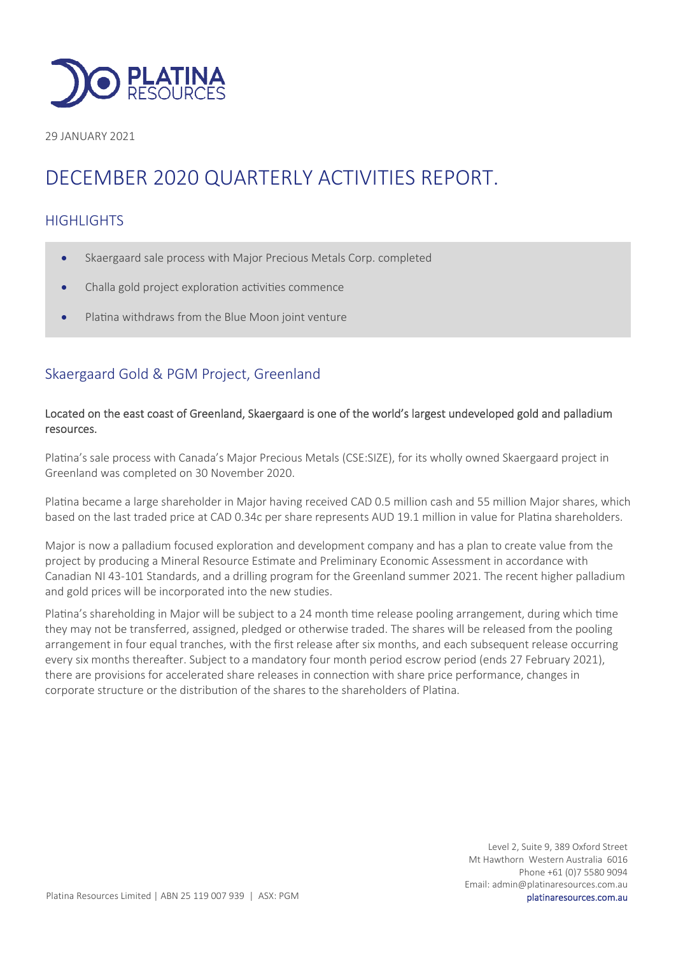

29 JANUARY 2021

# DECEMBER 2020 QUARTERLY ACTIVITIES REPORT.

### **HIGHLIGHTS**

- Skaergaard sale process with Major Precious Metals Corp. completed
- $\bullet$  Challa gold project exploration activities commence
- $\bullet$  Platina withdraws from the Blue Moon joint venture

# Skaergaard Gold & PGM Project, Greenland

#### Located on the east coast of Greenland, Skaergaard is one of the world's largest undeveloped gold and palladium resources.

Platina's sale process with Canada's Major Precious Metals (CSE:SIZE), for its wholly owned Skaergaard project in Greenland was completed on 30 November 2020.

Platina became a large shareholder in Major having received CAD 0.5 million cash and 55 million Major shares, which based on the last traded price at CAD 0.34c per share represents AUD 19.1 million in value for Platina shareholders.

Major is now a palladium focused exploration and development company and has a plan to create value from the project by producing a Mineral Resource Estimate and Preliminary Economic Assessment in accordance with Canadian NI 43-101 Standards, and a drilling program for the Greenland summer 2021. The recent higher palladium and gold prices will be incorporated into the new studies.

Platina's shareholding in Major will be subject to a 24 month time release pooling arrangement, during which time they may not be transferred, assigned, pledged or otherwise traded. The shares will be released from the pooling arrangement in four equal tranches, with the first release after six months, and each subsequent release occurring every six months thereafter. Subject to a mandatory four month period escrow period (ends 27 February 2021), there are provisions for accelerated share releases in connection with share price performance, changes in corporate structure or the distribution of the shares to the shareholders of Platina.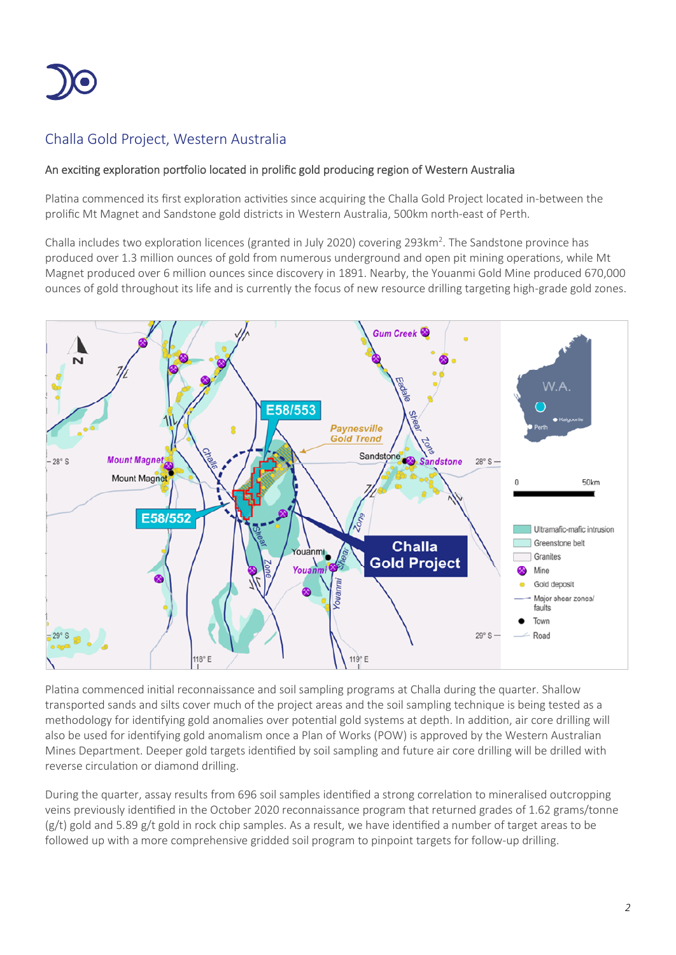

# Challa Gold Project, Western Australia

#### An exciting exploration portfolio located in prolific gold producing region of Western Australia

Platina commenced its first exploration activities since acquiring the Challa Gold Project located in-between the prolific Mt Magnet and Sandstone gold districts in Western Australia, 500km north-east of Perth.

Challa includes two exploration licences (granted in July 2020) covering 293km<sup>2</sup>. The Sandstone province has produced over 1.3 million ounces of gold from numerous underground and open pit mining operations, while Mt Magnet produced over 6 million ounces since discovery in 1891. Nearby, the Youanmi Gold Mine produced 670,000 ounces of gold throughout its life and is currently the focus of new resource drilling targeting high-grade gold zones.



Platina commenced initial reconnaissance and soil sampling programs at Challa during the quarter. Shallow transported sands and silts cover much of the project areas and the soil sampling technique is being tested as a methodology for identifying gold anomalies over potential gold systems at depth. In addition, air core drilling will also be used for identifying gold anomalism once a Plan of Works (POW) is approved by the Western Australian Mines Department. Deeper gold targets idenfied by soil sampling and future air core drilling will be drilled with reverse circulation or diamond drilling.

During the quarter, assay results from 696 soil samples identified a strong correlation to mineralised outcropping veins previously idenfied in the October 2020 reconnaissance program that returned grades of 1.62 grams/tonne (g/t) gold and 5.89 g/t gold in rock chip samples. As a result, we have identified a number of target areas to be followed up with a more comprehensive gridded soil program to pinpoint targets for follow-up drilling.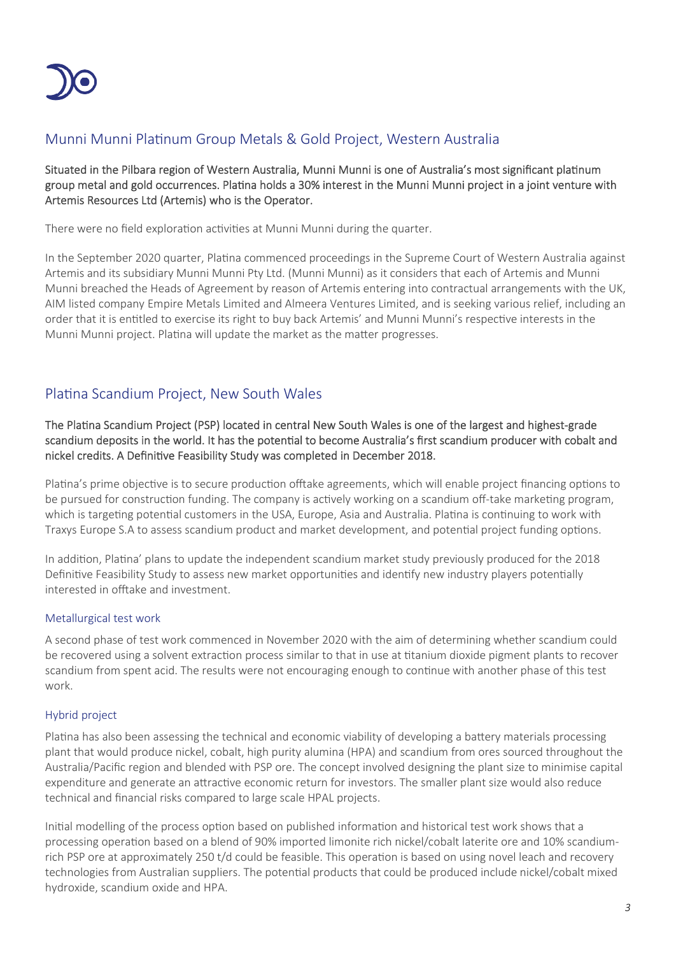

# Munni Munni Platinum Group Metals & Gold Project, Western Australia

#### Situated in the Pilbara region of Western Australia, Munni Munni is one of Australia's most significant platinum group metal and gold occurrences. Platina holds a 30% interest in the Munni Munni project in a joint venture with Artemis Resources Ltd (Artemis) who is the Operator.

There were no field exploration activities at Munni Munni during the quarter.

In the September 2020 quarter, Platina commenced proceedings in the Supreme Court of Western Australia against Artemis and its subsidiary Munni Munni Pty Ltd. (Munni Munni) as it considers that each of Artemis and Munni Munni breached the Heads of Agreement by reason of Artemis entering into contractual arrangements with the UK, AIM listed company Empire Metals Limited and Almeera Ventures Limited, and is seeking various relief, including an order that it is entitled to exercise its right to buy back Artemis' and Munni Munni's respective interests in the Munni Munni project. Platina will update the market as the matter progresses.

### Platina Scandium Project, New South Wales

#### The Platina Scandium Project (PSP) located in central New South Wales is one of the largest and highest-grade scandium deposits in the world. It has the potential to become Australia's first scandium producer with cobalt and nickel credits. A Definitive Feasibility Study was completed in December 2018.

Platina's prime objective is to secure production offtake agreements, which will enable project financing options to be pursued for construction funding. The company is actively working on a scandium off-take marketing program, which is targeting potential customers in the USA, Europe, Asia and Australia. Platina is continuing to work with Traxys Europe S.A to assess scandium product and market development, and potential project funding options.

In addition, Platina' plans to update the independent scandium market study previously produced for the 2018 Definitive Feasibility Study to assess new market opportunities and identify new industry players potentially interested in offtake and investment.

#### Metallurgical test work

A second phase of test work commenced in November 2020 with the aim of determining whether scandium could be recovered using a solvent extraction process similar to that in use at titanium dioxide pigment plants to recover scandium from spent acid. The results were not encouraging enough to continue with another phase of this test work.

#### Hybrid project

Platina has also been assessing the technical and economic viability of developing a battery materials processing plant that would produce nickel, cobalt, high purity alumina (HPA) and scandium from ores sourced throughout the Australia/Pacific region and blended with PSP ore. The concept involved designing the plant size to minimise capital expenditure and generate an attractive economic return for investors. The smaller plant size would also reduce technical and financial risks compared to large scale HPAL projects.

Initial modelling of the process option based on published information and historical test work shows that a processing operation based on a blend of 90% imported limonite rich nickel/cobalt laterite ore and 10% scandiumrich PSP ore at approximately 250 t/d could be feasible. This operation is based on using novel leach and recovery technologies from Australian suppliers. The potential products that could be produced include nickel/cobalt mixed hydroxide, scandium oxide and HPA.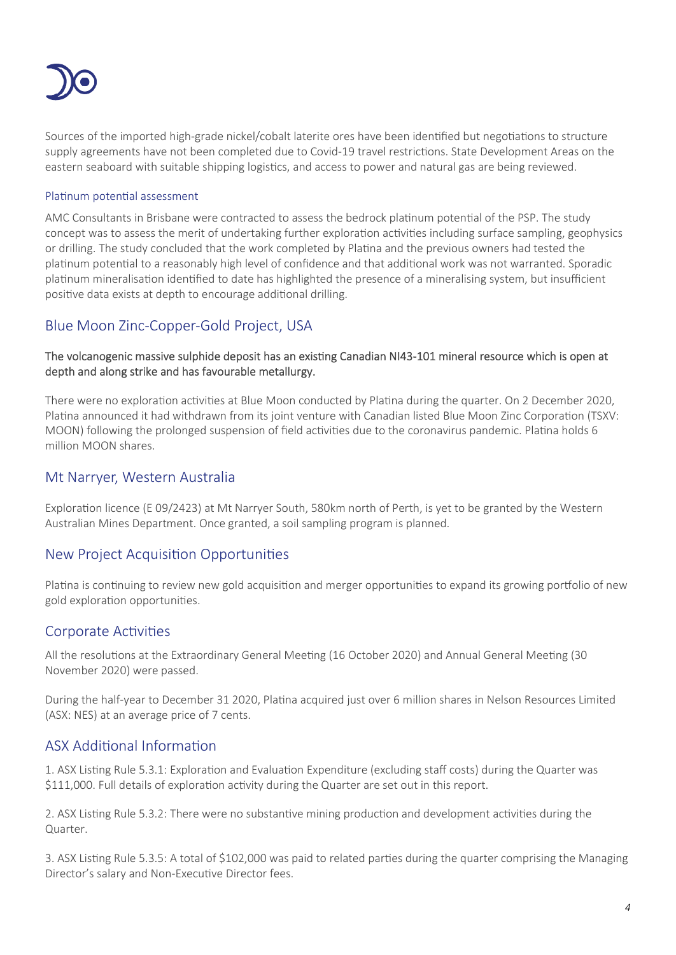

Sources of the imported high-grade nickel/cobalt laterite ores have been identified but negotiations to structure supply agreements have not been completed due to Covid-19 travel restrictions. State Development Areas on the eastern seaboard with suitable shipping logistics, and access to power and natural gas are being reviewed.

#### Platinum potential assessment

AMC Consultants in Brisbane were contracted to assess the bedrock platinum potential of the PSP. The study concept was to assess the merit of undertaking further exploration activities including surface sampling, geophysics or drilling. The study concluded that the work completed by Platina and the previous owners had tested the platinum potential to a reasonably high level of confidence and that additional work was not warranted. Sporadic platinum mineralisation identified to date has highlighted the presence of a mineralising system, but insufficient positive data exists at depth to encourage additional drilling.

# Blue Moon Zinc-Copper-Gold Project, USA

#### The volcanogenic massive sulphide deposit has an existing Canadian NI43-101 mineral resource which is open at depth and along strike and has favourable metallurgy.

There were no exploration activities at Blue Moon conducted by Platina during the quarter. On 2 December 2020, Platina announced it had withdrawn from its joint venture with Canadian listed Blue Moon Zinc Corporation (TSXV: MOON) following the prolonged suspension of field activities due to the coronavirus pandemic. Platina holds 6 million MOON shares.

### Mt Narryer, Western Australia

Exploration licence (E 09/2423) at Mt Narryer South, 580km north of Perth, is yet to be granted by the Western Australian Mines Department. Once granted, a soil sampling program is planned.

### New Project Acquisition Opportunities

Platina is continuing to review new gold acquisition and merger opportunities to expand its growing portfolio of new gold exploration opportunities.

### Corporate Activities

All the resolutions at the Extraordinary General Meeting (16 October 2020) and Annual General Meeting (30 November 2020) were passed.

During the half-year to December 31 2020, Platina acquired just over 6 million shares in Nelson Resources Limited (ASX: NES) at an average price of 7 cents.

# ASX Additional Information

1. ASX Listing Rule 5.3.1: Exploration and Evaluation Expenditure (excluding staff costs) during the Quarter was \$111,000. Full details of exploration activity during the Quarter are set out in this report.

2. ASX Listing Rule 5.3.2: There were no substantive mining production and development activities during the Quarter.

3. ASX Listing Rule 5.3.5: A total of \$102,000 was paid to related parties during the quarter comprising the Managing Director's salary and Non-Executive Director fees.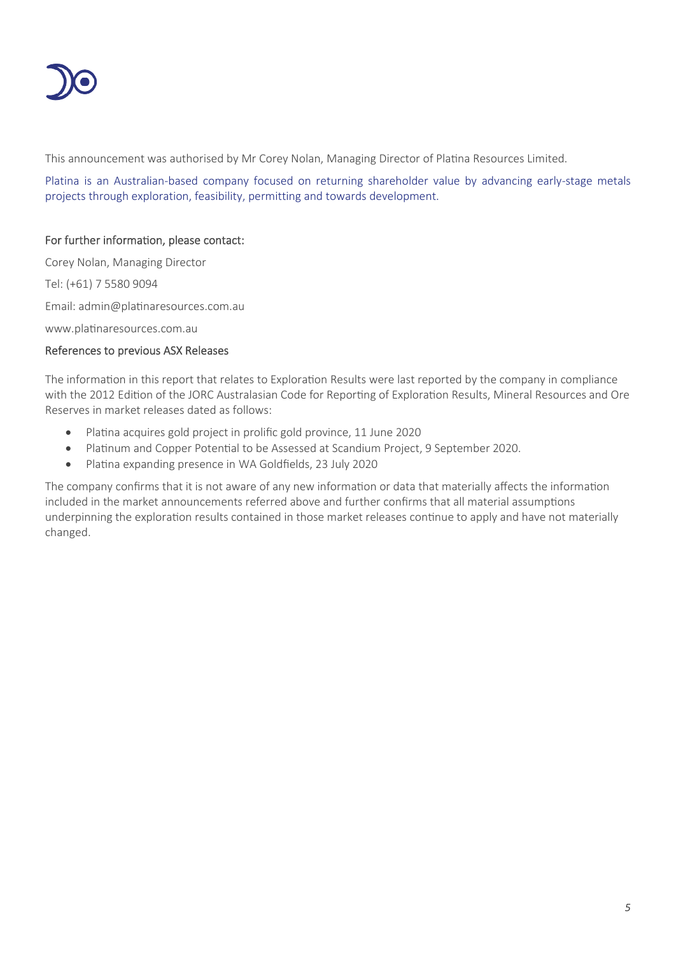

This announcement was authorised by Mr Corey Nolan, Managing Director of Platina Resources Limited.

Platina is an Australian-based company focused on returning shareholder value by advancing early-stage metals projects through exploration, feasibility, permitting and towards development.

#### For further information, please contact:

Corey Nolan, Managing Director Tel: (+61) 7 5580 9094 Email: admin@platinaresources.com.au www.platinaresources.com.au References to previous ASX Releases

The information in this report that relates to Exploration Results were last reported by the company in compliance with the 2012 Edition of the JORC Australasian Code for Reporting of Exploration Results, Mineral Resources and Ore Reserves in market releases dated as follows:

- Platina acquires gold project in prolific gold province, 11 June 2020
- Platinum and Copper Potential to be Assessed at Scandium Project, 9 September 2020.
- Platina expanding presence in WA Goldfields, 23 July 2020

The company confirms that it is not aware of any new information or data that materially affects the information included in the market announcements referred above and further confirms that all material assumptions underpinning the exploration results contained in those market releases continue to apply and have not materially changed.